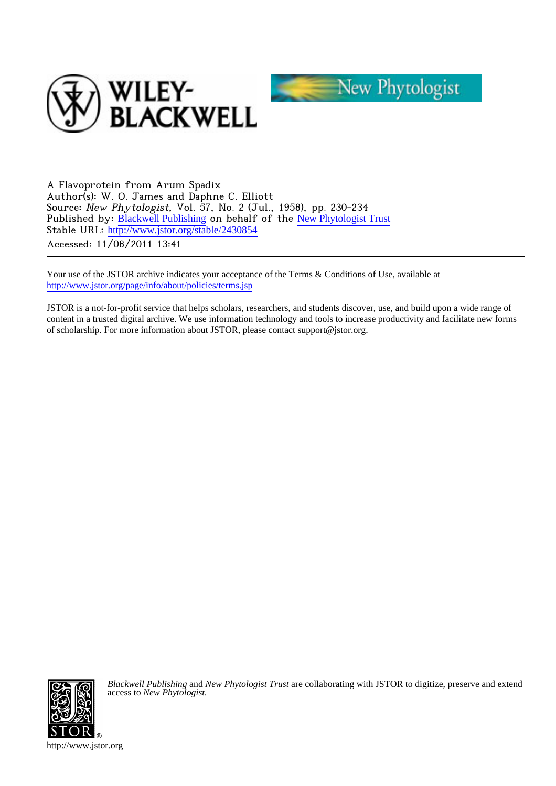



A Flavoprotein from Arum Spadix Author(s): W. O. James and Daphne C. Elliott Source: New Phytologist, Vol. 57, No. 2 (Jul., 1958), pp. 230-234 Published by: [Blackwell Publishing](http://www.jstor.org/action/showPublisher?publisherCode=black) on behalf of the [New Phytologist Trust](http://www.jstor.org/action/showPublisher?publisherCode=npt) Stable URL: [http://www.jstor.org/stable/2430854](http://www.jstor.org/stable/2430854?origin=JSTOR-pdf) Accessed: 11/08/2011 13:41

Your use of the JSTOR archive indicates your acceptance of the Terms & Conditions of Use, available at <http://www.jstor.org/page/info/about/policies/terms.jsp>

JSTOR is a not-for-profit service that helps scholars, researchers, and students discover, use, and build upon a wide range of content in a trusted digital archive. We use information technology and tools to increase productivity and facilitate new forms of scholarship. For more information about JSTOR, please contact support@jstor.org.



*Blackwell Publishing* and *New Phytologist Trust* are collaborating with JSTOR to digitize, preserve and extend access to *New Phytologist.*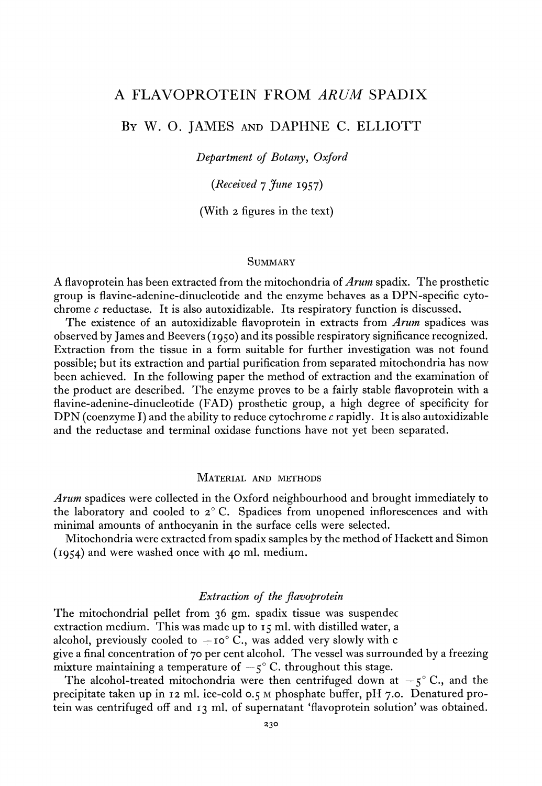# A FLAVOPROTEIN FROM ARUM SPADIX

BY W. 0. JAMES AND DAPHNE C. ELLIOTT

Department of Botany, Oxford

 $(Received 7$   $\tilde{f}$ une 1957)

(With 2 figures in the text)

#### **SUMMARY**

A flavoprotein has been extracted from the mitochondria of Arum spadix. The prosthetic group is flavine-adenine-dinucleotide and the enzyme behaves as a DPN-specific cytochrome  $c$  reductase. It is also autoxidizable. Its respiratory function is discussed.

The existence of an autoxidizable flavoprotein in extracts from Arum spadices was observed by James and Beevers (I950) and its possible respiratory significance recognized. Extraction from the tissue in a form suitable for further investigation was not found possible; but its extraction and partial purification from separated mitochondria has now been achieved. In the following paper the method of extraction and the examination of the product are described. The enzyme proves to be a fairly stable flavoprotein with a flavine-adenine-dinucleotide (FAD) prosthetic group, a high degree of specificity for DPN (coenzyme I) and the ability to reduce cytochrome  $c$  rapidly. It is also autoxidizable and the reductase and terminal oxidase functions have not yet been separated.

#### MATERIAL AND METHODS

Arrum spadices were collected in the Oxford neighbourhood and brought immediately to the laboratory and cooled to  $2^{\circ}$  C. Spadices from unopened inflorescences and with minimal amounts of anthocyanin in the surface cells were selected.

Mitochondria were extracted from spadix samples by the method of Hackett and Simon (I954) and were washed once with 40 ml. medium.

### Extraction of the flavoprotein

The mitochondrial pellet from 36 gm. spadix tissue was suspendec extraction medium. This was made up to  $15$  ml. with distilled water, a alcohol, previously cooled to  $-$  10° C., was added very slowly with c give a final concentration of 70 per cent alcohol. The vessel was surrounded by a freezing mixture maintaining a temperature of  $-5^{\circ}$  C. throughout this stage.

The alcohol-treated mitochondria were then centrifuged down at  $-\xi^{\circ}$ C., and the precipitate taken up in I2 ml. ice-cold 0.5 M phospbate buffer, pH 7.o. Denatured protein was centrifuged off and I3 ml. of supernatant 'flavoprotein solution' was obtained.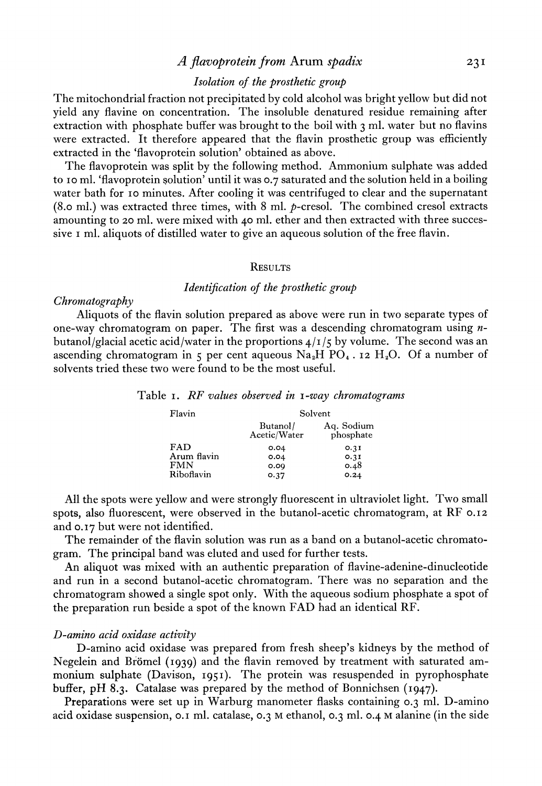## A flavoprotein from Arum spadix 231

## Isolation of the prosthetic group

The mitochondrial fraction not precipitated by cold alcohol was bright yellow but did not yield any flavine on concentration. The insoluble denatured residue remaining after extraction with phosphate buffer was brought to the boil with 3 ml, water but no flavins were extracted. It therefore appeared that the flavin prosthetic group was efficiently extracted in the 'flavoprotein solution' obtained as above.

The flavoprotein was split by the following method. Ammonium sulphate was added to io ml. 'flavoprotein solution' until it was 0.7 saturated and the solution held in a boiling water bath for io minutes. After cooling it was centrifuged to clear and the supernatant (8.o ml.) was extracted three times, with 8 ml. p-cresol. The combined cresol extracts amounting to 20 ml. were mixed with 40 ml. ether and then extracted with three successive i ml. aliquots of distilled water to give an aqueous solution of the free flavin.

#### RESULTS

#### Identification of the prosthetic group

#### Chromatography

Aliquots of the flavin solution prepared as above were run in two separate types of one-way chromatogram on paper. The first was a descending chromatogram using nbutanol/glacial acetic acid/water in the proportions  $4/1/5$  by volume. The second was an ascending chromatogram in 5 per cent aqueous  $Na<sub>2</sub>H PO<sub>4</sub>$ . 12 H<sub>2</sub>O. Of a number of solvents tried these two were found to be the most useful.

### Table  $I.$  RF values observed in  $I$ -way chromatograms

| Flavin      | Solvent                  |                         |
|-------------|--------------------------|-------------------------|
|             | Butanol/<br>Acetic/Water | Aq. Sodium<br>phosphate |
| <b>FAD</b>  | O.O4                     | 0.31                    |
| Arum flavin | 0.04                     | 0.31                    |
| <b>FMN</b>  | 0.00                     | 0.48                    |
| Riboflavin  | 0.37                     | 0.24                    |

All the spots were yellow and were strongly fluorescent in ultraviolet light. Two small spots, also fluorescent, were observed in the butanol-acetic chromatogram, at RF O.I2 and 0.17 but were not identified.

The remainder of the flavin solution was run as a band on a butanol-acetic chromatogram. The principal band was eluted and used for further tests.

An aliquot was mixed with an authentic preparation of flavine-adenine-dinucleotide and run in a second butanol-acetic chromatogram. There was no separation and the chromatogram showed a single spot only. With the aqueous sodium phosphate a spot of the preparation run beside a spot of the known FAD had an identical RF.

#### D-amino acid oxidase activity

D-amino acid oxidase was prepared from fresh sheep's kidneys by the method of Negelein and Brömel (1939) and the flavin removed by treatment with saturated ammonium sulphate (Davison, I95i). The protein was resuspended in pyrophosphate buffer, pH 8.3. Catalase was prepared by the method of Bonnichsen (1947).

Preparations were set up in Warburg manometer flasks containing 0.3 ml. D-amino acid oxidase suspension, O.I ml. catalase, 0.3 M ethanol, 0.3 ml. 0.4 M alanine (in the side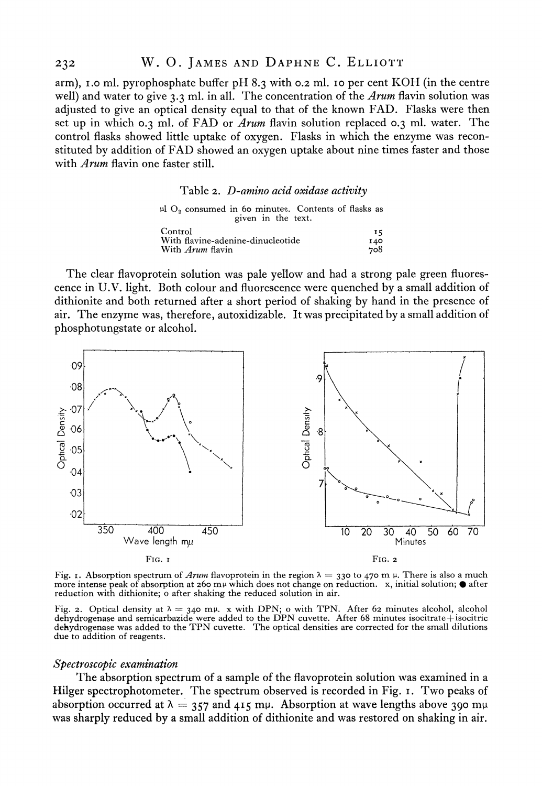## 232 W. 0. JAMES AND DAPHNE C. ELLIOTT

arm), I.0 ml. pyrophosphate buffer pH 8.3 with 0.2 ml. io per cent KOH (in the centre well) and water to give 3.3 ml. in all. The concentration of the *Arum* flavin solution was adjusted to give an optical density equal to that of the known FAD. Flasks were then set up in which 0.3 ml. of FAD or Arum flavin solution replaced 0.3 ml. water. The control flasks showed little uptake of oxygen. Flasks in which the enzyme was reconstituted by addition of FAD showed an oxygen uptake about nine times faster and those with *Arum* flavin one faster still.

#### Table 2. D-amino acid oxidase activity

| $\mu$ l O <sub>2</sub> consumed in 60 minutes. Contents of flasks as    |                  |
|-------------------------------------------------------------------------|------------------|
| given in the text.                                                      |                  |
| Control<br>With flavine-adenine-dinucleotide<br>With <i>Arum</i> flavin | 15<br>140<br>708 |

The clear flavoprotein solution was pale yellow and had a strong pale green fluorescence in U.V. light. Both colour and fluorescence were quenched by a small addition of dithionite and both returned after a short period of shaking by hand in the presence of air. The enzyme was, therefore, autoxidizable. It was precipitated by a small addition of phosphotungstate or alcohol.



Fig. 1. Absorption spectrum of Arum flavoprotein in the region  $\lambda = 330$  to 470 m  $\mu$ . There is also a much more intense peak of absorption at 260 m<sub>p</sub> which does not change on reduction.  $x$ , initial solution;  $\bullet$  after reduction with dithionite; o after shaking the reduced solution in air.

Fig. 2. Optical density at  $\lambda = 340$  mµ. x with DPN; o with TPN. After 62 minutes alcohol, alcohol dehydrogenase and semicarbazide were added to the DPN cuvette. After 68 minutes isocitrate+isocitric dehydrogenase was add due to addition of reagents.

### Spectroscopic examination

The absorption spectrum of a sample of the flavoprotein solution was examined in a Hilger spectrophotometer. The spectrum observed is recorded in Fig. i. Two peaks of absorption occurred at  $\lambda = 357$  and 415 mu. Absorption at wave lengths above 390 mu was sharply reduced by a small addition of dithionite and was restored on shaking in air.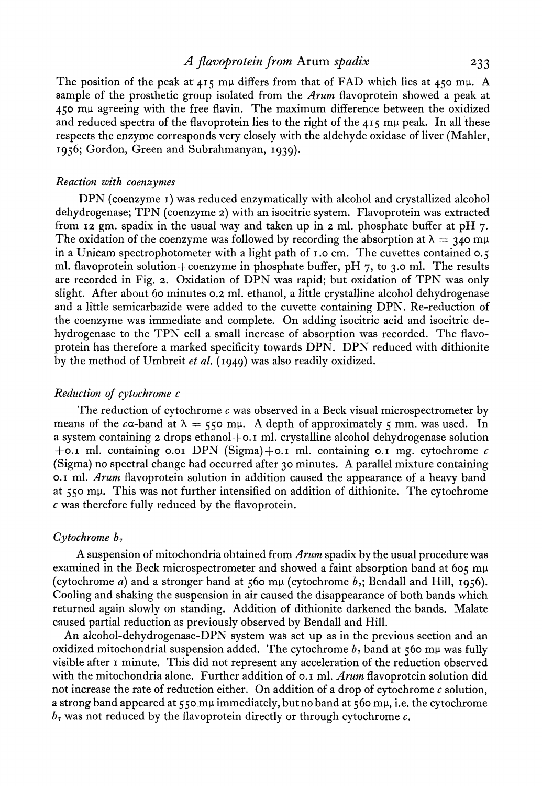## A flavoprotein from Arum spadix 233

The position of the peak at  $415$  m<sub>H</sub> differs from that of FAD which lies at  $450$  m<sub>H</sub>. A sample of the prosthetic group isolated from the Arum flavoprotein showed a peak at <sup>450</sup>mp agreeing with the free flavin. The maximum difference between the oxidized and reduced spectra of the flavoprotein lies to the right of the  $415$  m $\mu$  peak. In all these respects the enzyme corresponds very closely with the aldehyde oxidase of liver (Mahler, 1956; Gordon, Green and Subrahmanyan, 1939).

### Reaction with coenzymes

DPN (coenzyme i) was reduced enzymatically with alcohol and crystallized alcohol dehydrogenase; TPN (coenzyme 2) with an isocitric system. Flavoprotein was extracted from 12 gm. spadix in the usual way and taken up in 2 ml. phosphate buffer at pH  $7$ . The oxidation of the coenzyme was followed by recording the absorption at  $\lambda = 340$  m $\mu$ in a Unicam spectrophotometer with a light path of  $1.0$  cm. The cuvettes contained  $0.5$ ml. flavoprotein solution+coenzyme in phosphate buffer, pH  $7$ , to 3.0 ml. The results are recorded in Fig. 2. Oxidation of DPN was rapid; but oxidation of TPN was only slight. After about 6o minutes 0.2 ml. ethanol, a little crystalline alcohol dehydrogenase and a little semicarbazide were added to the cuvette containing DPN. Re-reduction of the coenzyme was immediate and complete. On adding isocitric acid and isocitric dehydrogenase to the TPN cell a small increase of absorption was recorded. The flavoprotein has therefore amarked specificity towards DPN. DPN reduced with dithionite by the method of Umbreit et al. (1949) was also readily oxidized.

## Reduction of cytochrome c

The reduction of cytochrome  $c$  was observed in a Beck visual microspectrometer by means of the  $c\alpha$ -band at  $\lambda = 550$  m $\mu$ . A depth of approximately 5 mm, was used. In a system containing  $2$  drops ethanol  $+o$ . I ml. crystalline alcohol dehydrogenase solution +0.1 ml. containing 0.01 DPN (Sigma)+0.1 ml. containing 0.1 mg. cytochrome  $c$ (Sigma) no spectral change had occurred after 30 minutes. A parallel mixture containing o.i ml. Arum flavoprotein solution in addition caused the appearance of a heavy band at 550 mµ. This was not further intensified on addition of dithionite. The cytochrome c was therefore fully reduced by the flavoprotein.

### $Cytochrome b<sub>7</sub>$

A suspension of mitochondria obtained from Arum spadix by the usual procedure was examined in the Beck microspectrometer and showed a faint absorption band at 605 m $\mu$ (cytochrome a) and a stronger band at 560 mµ (cytochrome  $b_7$ ; Bendall and Hill, 1956). Cooling and shaking the suspension in air caused the disappearance of both bands which returned again slowly on standing. Addition of dithionite darkened the bands. Malate caused partial reduction as previously observed by Bendall and Hill.

An alcohol-dehydrogenase-DPN system was set up as in the previous section and an oxidized mitochondrial suspension added. The cytochrome  $b<sub>2</sub>$  band at 560 mu was fully visible after i minute. This did not represent any acceleration of the reduction observed with the mitochondria alone. Further addition of 0.1 ml. Arum flavoprotein solution did not increase the rate of reduction either. On addition of a drop of cytochrome  $c$  solution, a strong band appeared at  $550 \text{ m}\mu$  immediately, but no band at  $560 \text{ m}\mu$ , i.e. the cytochrome  $b_7$  was not reduced by the flavoprotein directly or through cytochrome  $c$ .